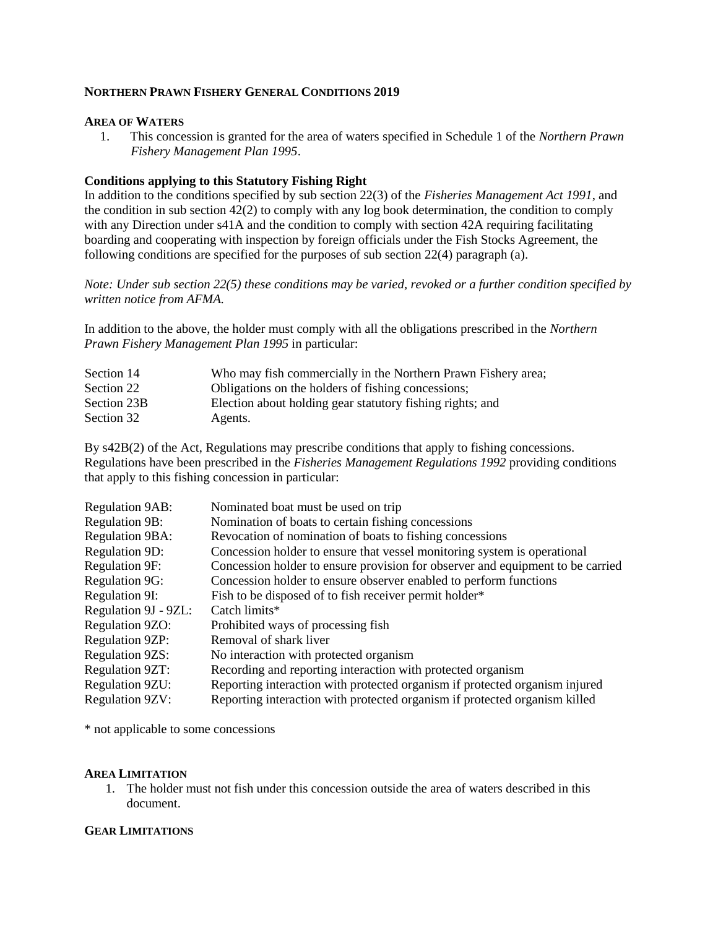## **NORTHERN PRAWN FISHERY GENERAL CONDITIONS 2019**

### **AREA OF WATERS**

 1. This concession is granted for the area of waters specified in Schedule 1 of the *Northern Prawn Fishery Management Plan 1995*.

## **Conditions applying to this Statutory Fishing Right**

In addition to the conditions specified by sub section 22(3) of the *Fisheries Management Act 1991*, and the condition in sub section  $42(2)$  to comply with any log book determination, the condition to comply with any Direction under s41A and the condition to comply with section 42A requiring facilitating boarding and cooperating with inspection by foreign officials under the Fish Stocks Agreement, the following conditions are specified for the purposes of sub section 22(4) paragraph (a).

*Note: Under sub section 22(5) these conditions may be varied, revoked or a further condition specified by written notice from AFMA.*

In addition to the above, the holder must comply with all the obligations prescribed in the *Northern Prawn Fishery Management Plan 1995* in particular:

| Section 14  | Who may fish commercially in the Northern Prawn Fishery area; |
|-------------|---------------------------------------------------------------|
| Section 22  | Obligations on the holders of fishing concessions;            |
| Section 23B | Election about holding gear statutory fishing rights; and     |
| Section 32  | Agents.                                                       |

By s42B(2) of the Act, Regulations may prescribe conditions that apply to fishing concessions. Regulations have been prescribed in the *Fisheries Management Regulations 1992* providing conditions that apply to this fishing concession in particular:

| <b>Regulation 9AB:</b> | Nominated boat must be used on trip                                            |
|------------------------|--------------------------------------------------------------------------------|
| <b>Regulation 9B:</b>  | Nomination of boats to certain fishing concessions                             |
| <b>Regulation 9BA:</b> | Revocation of nomination of boats to fishing concessions                       |
| <b>Regulation 9D:</b>  | Concession holder to ensure that vessel monitoring system is operational       |
| <b>Regulation 9F:</b>  | Concession holder to ensure provision for observer and equipment to be carried |
| <b>Regulation 9G:</b>  | Concession holder to ensure observer enabled to perform functions              |
| Regulation 9I:         | Fish to be disposed of to fish receiver permit holder*                         |
| Regulation 9J - 9ZL:   | Catch limits*                                                                  |
| Regulation 9ZO:        | Prohibited ways of processing fish                                             |
| <b>Regulation 9ZP:</b> | Removal of shark liver                                                         |
| <b>Regulation 9ZS:</b> | No interaction with protected organism                                         |
| <b>Regulation 9ZT:</b> | Recording and reporting interaction with protected organism                    |
| <b>Regulation 9ZU:</b> | Reporting interaction with protected organism if protected organism injured    |
| <b>Regulation 9ZV:</b> | Reporting interaction with protected organism if protected organism killed     |

\* not applicable to some concessions

### **AREA LIMITATION**

1. The holder must not fish under this concession outside the area of waters described in this document.

## **GEAR LIMITATIONS**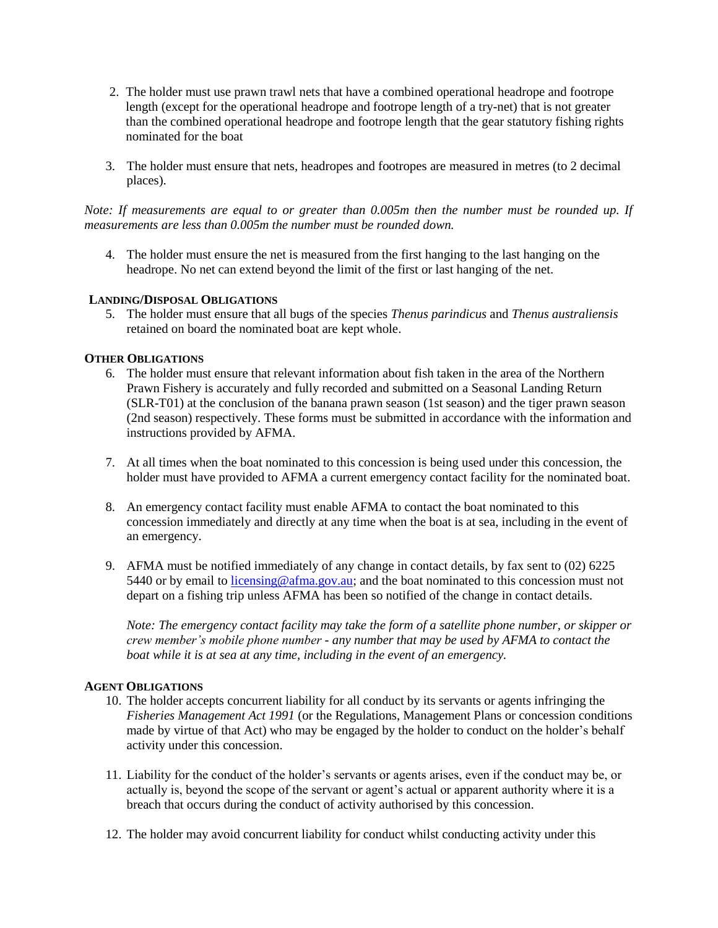- 2. The holder must use prawn trawl nets that have a combined operational headrope and footrope length (except for the operational headrope and footrope length of a try-net) that is not greater than the combined operational headrope and footrope length that the gear statutory fishing rights nominated for the boat.
- 3. The holder must ensure that nets, headropes and footropes are measured in metres (to 2 decimal places).

*Note: If measurements are equal to or greater than 0.005m then the number must be rounded up. If measurements are less than 0.005m the number must be rounded down.*

4. The holder must ensure the net is measured from the first hanging to the last hanging on the headrope. No net can extend beyond the limit of the first or last hanging of the net.

## **LANDING/DISPOSAL OBLIGATIONS**

5. The holder must ensure that all bugs of the species *Thenus parindicus* and *Thenus australiensis*  retained on board the nominated boat are kept whole.

### **OTHER OBLIGATIONS**

- 6. The holder must ensure that relevant information about fish taken in the area of the Northern Prawn Fishery is accurately and fully recorded and submitted on a Seasonal Landing Return (SLR-T01) at the conclusion of the banana prawn season (1st season) and the tiger prawn season (2nd season) respectively. These forms must be submitted in accordance with the information and instructions provided by AFMA.
- 7. At all times when the boat nominated to this concession is being used under this concession, the holder must have provided to AFMA a current emergency contact facility for the nominated boat.
- 8. An emergency contact facility must enable AFMA to contact the boat nominated to this concession immediately and directly at any time when the boat is at sea, including in the event of an emergency.
- 9. AFMA must be notified immediately of any change in contact details, by fax sent to (02) 6225 5440 or by email to licensing@afma.gov.au; and the boat nominated to this concession must not depart on a fishing trip unless AFMA has been so notified of the change in contact details.

*Note: The emergency contact facility may take the form of a satellite phone number, or skipper or crew member's mobile phone number - any number that may be used by AFMA to contact the boat while it is at sea at any time, including in the event of an emergency.* 

### **AGENT OBLIGATIONS**

- 10. The holder accepts concurrent liability for all conduct by its servants or agents infringing the *Fisheries Management Act 1991* (or the Regulations, Management Plans or concession conditions made by virtue of that Act) who may be engaged by the holder to conduct on the holder's behalf activity under this concession.
- 11. Liability for the conduct of the holder's servants or agents arises, even if the conduct may be, or actually is, beyond the scope of the servant or agent's actual or apparent authority where it is a breach that occurs during the conduct of activity authorised by this concession.
- 12. The holder may avoid concurrent liability for conduct whilst conducting activity under this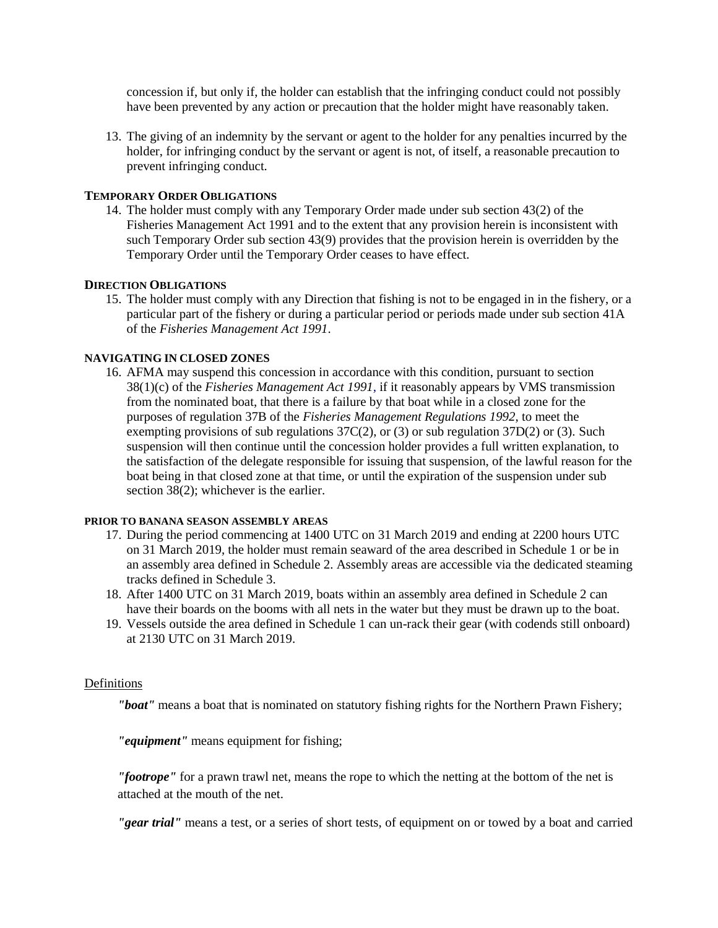concession if, but only if, the holder can establish that the infringing conduct could not possibly have been prevented by any action or precaution that the holder might have reasonably taken.

13. The giving of an indemnity by the servant or agent to the holder for any penalties incurred by the holder, for infringing conduct by the servant or agent is not, of itself, a reasonable precaution to prevent infringing conduct.

## **TEMPORARY ORDER OBLIGATIONS**

14. The holder must comply with any Temporary Order made under sub section 43(2) of the Fisheries Management Act 1991 and to the extent that any provision herein is inconsistent with such Temporary Order sub section 43(9) provides that the provision herein is overridden by the Temporary Order until the Temporary Order ceases to have effect.

# **DIRECTION OBLIGATIONS**

15. The holder must comply with any Direction that fishing is not to be engaged in in the fishery, or a particular part of the fishery or during a particular period or periods made under sub section 41A of the *Fisheries Management Act 1991*.

# **NAVIGATING IN CLOSED ZONES**

16. AFMA may suspend this concession in accordance with this condition, pursuant to section 38(1)(c) of the *Fisheries Management Act 1991,* if it reasonably appears by VMS transmission from the nominated boat, that there is a failure by that boat while in a closed zone for the purposes of regulation 37B of the *Fisheries Management Regulations 1992*, to meet the exempting provisions of sub regulations 37C(2), or (3) or sub regulation 37D(2) or (3)*.* Such suspension will then continue until the concession holder provides a full written explanation, to the satisfaction of the delegate responsible for issuing that suspension, of the lawful reason for the boat being in that closed zone at that time, or until the expiration of the suspension under sub section 38(2); whichever is the earlier.

### **PRIOR TO BANANA SEASON ASSEMBLY AREAS**

- 17. During the period commencing at 1400 UTC on 31 March 2019 and ending at 2200 hours UTC on 31 March 2019, the holder must remain seaward of the area described in Schedule 1 or be in an assembly area defined in Schedule 2. Assembly areas are accessible via the dedicated steaming tracks defined in Schedule 3.
- 18. After 1400 UTC on 31 March 2019, boats within an assembly area defined in Schedule 2 can have their boards on the booms with all nets in the water but they must be drawn up to the boat.
- 19. Vessels outside the area defined in Schedule 1 can un-rack their gear (with codends still onboard) at 2130 UTC on 31 March 2019.

### Definitions

*"boat"* means a boat that is nominated on statutory fishing rights for the Northern Prawn Fishery;

*"equipment"* means equipment for fishing;

*"footrope"* for a prawn trawl net, means the rope to which the netting at the bottom of the net is attached at the mouth of the net.

*"gear trial"* means a test, or a series of short tests, of equipment on or towed by a boat and carried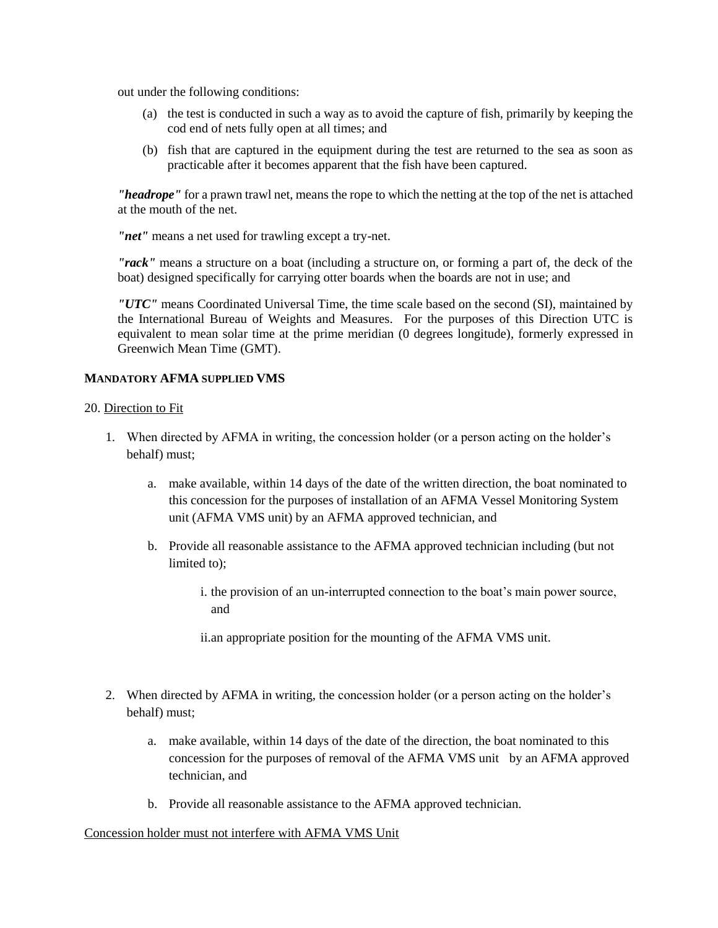out under the following conditions:

- (a) the test is conducted in such a way as to avoid the capture of fish, primarily by keeping the cod end of nets fully open at all times; and
- (b) fish that are captured in the equipment during the test are returned to the sea as soon as practicable after it becomes apparent that the fish have been captured.

*"headrope"* for a prawn trawl net, means the rope to which the netting at the top of the net is attached at the mouth of the net.

*"net"* means a net used for trawling except a try-net.

*"rack"* means a structure on a boat (including a structure on, or forming a part of, the deck of the boat) designed specifically for carrying otter boards when the boards are not in use; and

*"UTC"* means Coordinated Universal Time, the time scale based on the second (SI), maintained by the International Bureau of Weights and Measures. For the purposes of this Direction UTC is equivalent to mean solar time at the prime meridian (0 degrees longitude), formerly expressed in Greenwich Mean Time (GMT).

# **MANDATORY AFMA SUPPLIED VMS**

## 20. Direction to Fit

- 1. When directed by AFMA in writing, the concession holder (or a person acting on the holder's behalf) must;
	- a. make available, within 14 days of the date of the written direction, the boat nominated to this concession for the purposes of installation of an AFMA Vessel Monitoring System unit (AFMA VMS unit) by an AFMA approved technician, and
	- b. Provide all reasonable assistance to the AFMA approved technician including (but not limited to);
		- i. the provision of an un-interrupted connection to the boat's main power source, and
		- ii.an appropriate position for the mounting of the AFMA VMS unit.
- 2. When directed by AFMA in writing, the concession holder (or a person acting on the holder's behalf) must;
	- a. make available, within 14 days of the date of the direction, the boat nominated to this concession for the purposes of removal of the AFMA VMS unit by an AFMA approved technician, and
	- b. Provide all reasonable assistance to the AFMA approved technician.

### Concession holder must not interfere with AFMA VMS Unit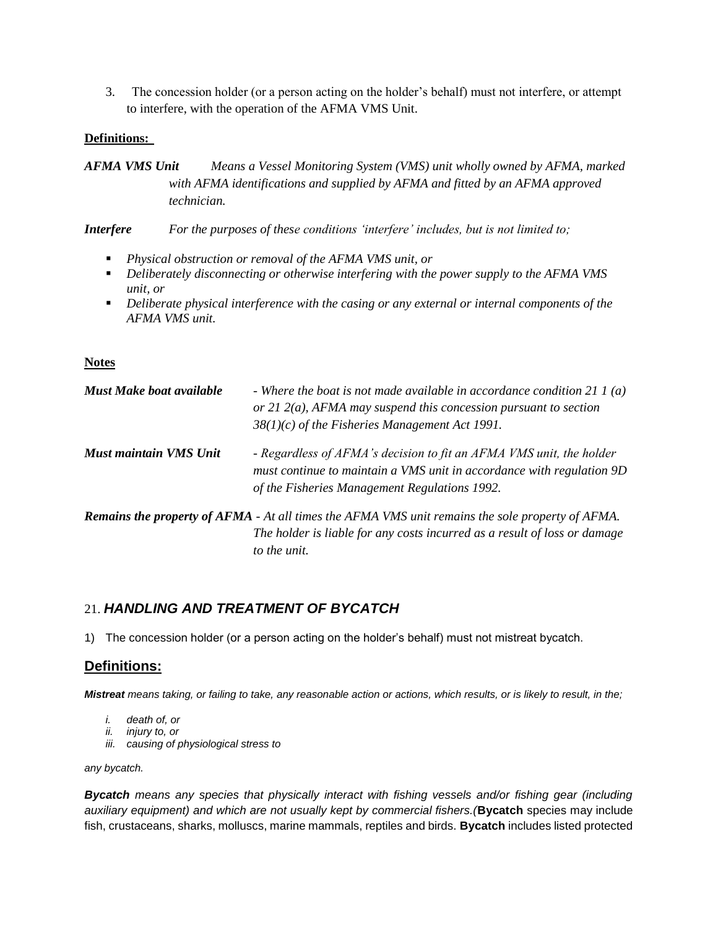3. The concession holder (or a person acting on the holder's behalf) must not interfere, or attempt to interfere, with the operation of the AFMA VMS Unit.

# **Definitions:**

*AFMA VMS Unit Means a Vessel Monitoring System (VMS) unit wholly owned by AFMA, marked with AFMA identifications and supplied by AFMA and fitted by an AFMA approved technician.*

*Interfere For the purposes of these conditions 'interfere' includes, but is not limited to;*

- *Physical obstruction or removal of the AFMA VMS unit, or*
- *Deliberately disconnecting or otherwise interfering with the power supply to the AFMA VMS unit, or*
- *Deliberate physical interference with the casing or any external or internal components of the AFMA VMS unit.*

## **Notes**

| <b>Must Make boat available</b> | - Where the boat is not made available in accordance condition 21 1 (a)<br>or 21 $2(a)$ , AFMA may suspend this concession pursuant to section<br>$38(1)(c)$ of the Fisheries Management Act 1991.  |
|---------------------------------|-----------------------------------------------------------------------------------------------------------------------------------------------------------------------------------------------------|
| Must maintain VMS Unit          | - Regardless of AFMA's decision to fit an AFMA VMS unit, the holder<br>must continue to maintain a VMS unit in accordance with regulation 9D<br>of the Fisheries Management Regulations 1992.       |
|                                 | <b>Remains the property of AFMA</b> - At all times the AFMA VMS unit remains the sole property of AFMA.<br>The holder is liable for any costs incurred as a result of loss or damage<br>to the unit |

# 21. *HANDLING AND TREATMENT OF BYCATCH*

1) The concession holder (or a person acting on the holder's behalf) must not mistreat bycatch.

# **Definitions:**

*Mistreat means taking, or failing to take, any reasonable action or actions, which results, or is likely to result, in the;*

- *i. death of, or*
- *ii. injury to, or*
- *iii. causing of physiological stress to*

*any bycatch.*

*Bycatch means any species that physically interact with fishing vessels and/or fishing gear (including auxiliary equipment) and which are not usually kept by commercial fishers.(***Bycatch** species may include fish, crustaceans, sharks, molluscs, marine mammals, reptiles and birds. **Bycatch** includes listed protected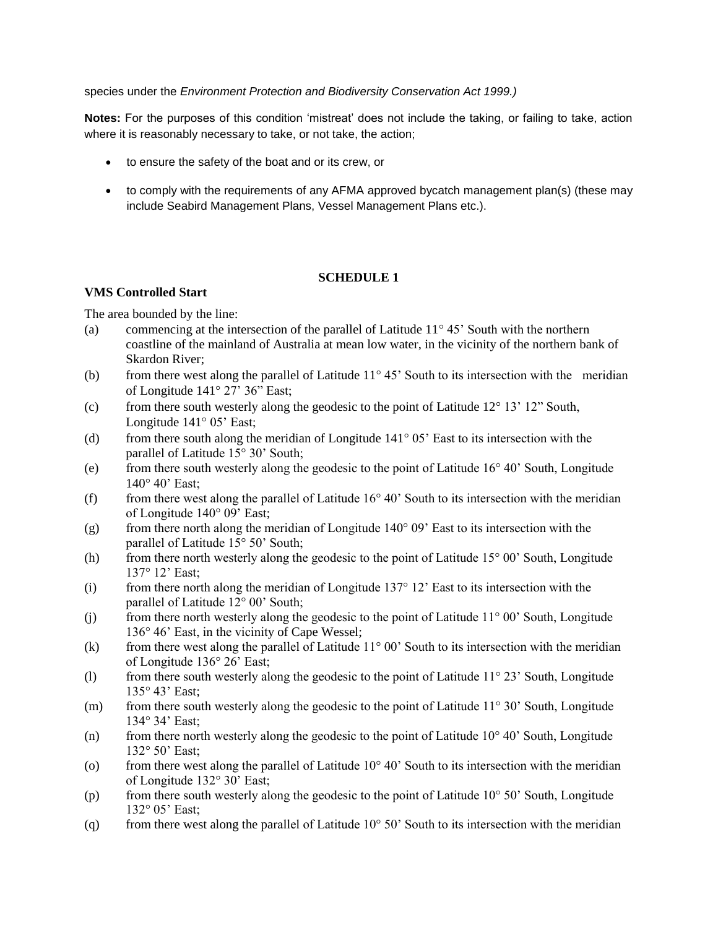species under the *Environment Protection and Biodiversity Conservation Act 1999.)*

**Notes:** For the purposes of this condition 'mistreat' does not include the taking, or failing to take, action where it is reasonably necessary to take, or not take, the action;

- to ensure the safety of the boat and or its crew, or
- to comply with the requirements of any AFMA approved bycatch management plan(s) (these may include Seabird Management Plans, Vessel Management Plans etc.).

# **SCHEDULE 1**

# **VMS Controlled Start**

The area bounded by the line:

- (a) commencing at the intersection of the parallel of Latitude  $11^{\circ} 45'$  South with the northern coastline of the mainland of Australia at mean low water, in the vicinity of the northern bank of Skardon River;
- (b) from there west along the parallel of Latitude  $11^{\circ} 45'$  South to its intersection with the meridian of Longitude  $141^\circ 27' 36''$  East;
- (c) from there south westerly along the geodesic to the point of Latitude  $12^{\circ} 13' 12''$  South, Longitude  $141^\circ 05'$  East;
- (d) from there south along the meridian of Longitude  $141^{\circ}$  05' East to its intersection with the parallel of Latitude 15° 30' South;
- (e) from there south westerly along the geodesic to the point of Latitude  $16^{\circ} 40'$  South, Longitude  $140^\circ 40'$  East;
- (f) from there west along the parallel of Latitude  $16^{\circ}$  40' South to its intersection with the meridian of Longitude 140° 09' East;
- (g) from there north along the meridian of Longitude  $140^{\circ}$  09' East to its intersection with the parallel of Latitude 15° 50' South;
- (h) from there north westerly along the geodesic to the point of Latitude  $15^{\circ}$  00' South, Longitude 137° 12' East;
- (i) from there north along the meridian of Longitude  $137^{\circ}$  12' East to its intersection with the parallel of Latitude 12° 00' South;
- (j) from there north westerly along the geodesic to the point of Latitude  $11^{\circ}$  00' South, Longitude 136° 46' East, in the vicinity of Cape Wessel;
- (k) from there west along the parallel of Latitude  $11^{\circ}$  00' South to its intersection with the meridian of Longitude 136° 26' East;
- (l) from there south westerly along the geodesic to the point of Latitude 11° 23' South, Longitude 135° 43' East;
- (m) from there south westerly along the geodesic to the point of Latitude  $11^{\circ}$  30' South, Longitude 134° 34' East;
- (n) from there north westerly along the geodesic to the point of Latitude  $10^{\circ}$  40' South, Longitude 132° 50' East;
- (o) from there west along the parallel of Latitude  $10^{\circ}$  40' South to its intersection with the meridian of Longitude 132° 30' East;
- (p) from there south westerly along the geodesic to the point of Latitude  $10^{\circ}$  50' South, Longitude 132° 05' East;
- (q) from there west along the parallel of Latitude  $10^{\circ}$  50' South to its intersection with the meridian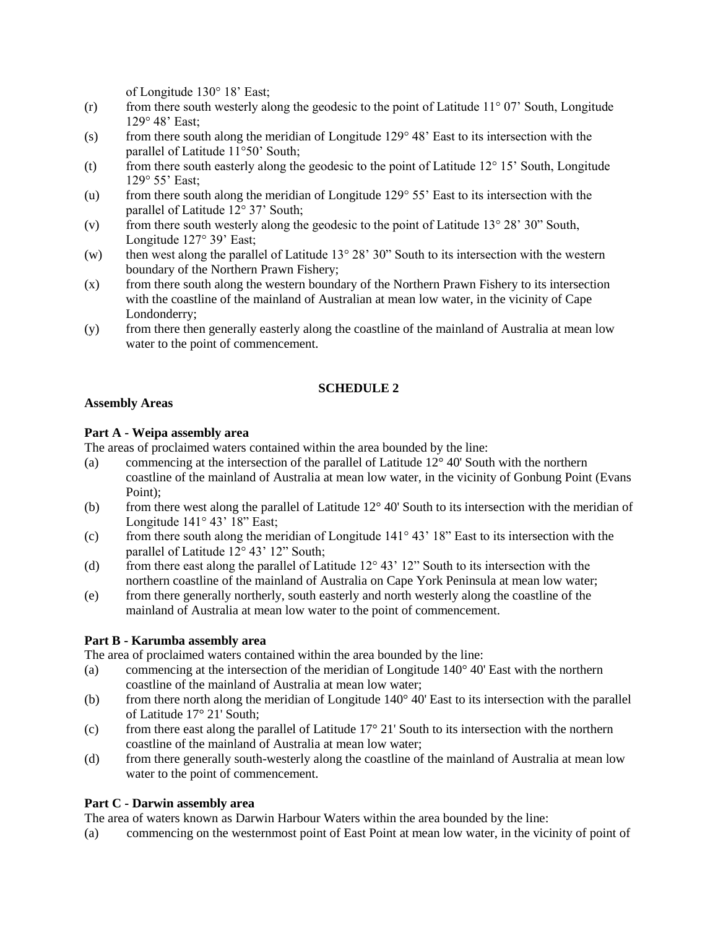of Longitude 130° 18' East;

- (r) from there south westerly along the geodesic to the point of Latitude  $11^{\circ}$  07' South, Longitude 129° 48' East;
- (s) from there south along the meridian of Longitude  $129^{\circ}$  48' East to its intersection with the parallel of Latitude 11°50' South;
- (t) from there south easterly along the geodesic to the point of Latitude  $12^{\circ} 15'$  South, Longitude 129° 55' East;
- (u) from there south along the meridian of Longitude  $129^{\circ} 55'$  East to its intersection with the parallel of Latitude 12° 37' South;
- (v) from there south westerly along the geodesic to the point of Latitude  $13^{\circ} 28' 30''$  South, Longitude 127° 39' East;
- (w) then west along the parallel of Latitude  $13^{\circ}$  28' 30" South to its intersection with the western boundary of the Northern Prawn Fishery;
- (x) from there south along the western boundary of the Northern Prawn Fishery to its intersection with the coastline of the mainland of Australian at mean low water, in the vicinity of Cape Londonderry;
- (y) from there then generally easterly along the coastline of the mainland of Australia at mean low water to the point of commencement.

# **SCHEDULE 2**

# **Assembly Areas**

# **Part A - Weipa assembly area**

The areas of proclaimed waters contained within the area bounded by the line:

- (a) commencing at the intersection of the parallel of Latitude 12° 40' South with the northern coastline of the mainland of Australia at mean low water, in the vicinity of Gonbung Point (Evans Point);
- (b) from there west along the parallel of Latitude 12° 40' South to its intersection with the meridian of Longitude 141° 43' 18" East;
- (c) from there south along the meridian of Longitude  $141^{\circ} 43' 18''$  East to its intersection with the parallel of Latitude 12° 43' 12" South;
- (d) from there east along the parallel of Latitude  $12^{\circ}$  43'  $12^{\circ}$  South to its intersection with the northern coastline of the mainland of Australia on Cape York Peninsula at mean low water;
- (e) from there generally northerly, south easterly and north westerly along the coastline of the mainland of Australia at mean low water to the point of commencement.

# **Part B - Karumba assembly area**

The area of proclaimed waters contained within the area bounded by the line:

- (a) commencing at the intersection of the meridian of Longitude 140° 40' East with the northern coastline of the mainland of Australia at mean low water;
- (b) from there north along the meridian of Longitude 140° 40' East to its intersection with the parallel of Latitude 17° 21' South;
- (c) from there east along the parallel of Latitude  $17^{\circ}$  21' South to its intersection with the northern coastline of the mainland of Australia at mean low water;
- (d) from there generally south-westerly along the coastline of the mainland of Australia at mean low water to the point of commencement.

# **Part C - Darwin assembly area**

The area of waters known as Darwin Harbour Waters within the area bounded by the line:

(a) commencing on the westernmost point of East Point at mean low water, in the vicinity of point of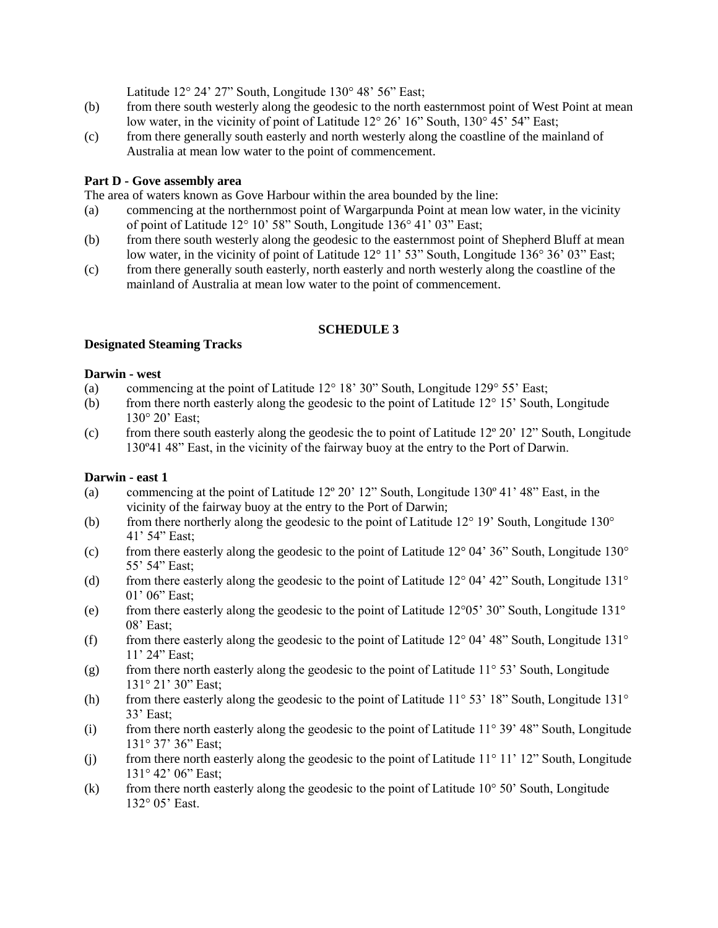Latitude 12° 24' 27" South, Longitude 130° 48' 56" East;

- (b) from there south westerly along the geodesic to the north easternmost point of West Point at mean low water, in the vicinity of point of Latitude 12° 26' 16" South, 130° 45' 54" East;
- (c) from there generally south easterly and north westerly along the coastline of the mainland of Australia at mean low water to the point of commencement.

# **Part D - Gove assembly area**

The area of waters known as Gove Harbour within the area bounded by the line:

- (a) commencing at the northernmost point of Wargarpunda Point at mean low water, in the vicinity of point of Latitude 12° 10' 58" South, Longitude 136° 41' 03" East;
- (b) from there south westerly along the geodesic to the easternmost point of Shepherd Bluff at mean low water, in the vicinity of point of Latitude 12° 11' 53" South, Longitude 136° 36' 03" East;
- (c) from there generally south easterly, north easterly and north westerly along the coastline of the mainland of Australia at mean low water to the point of commencement.

# **SCHEDULE 3**

### **Designated Steaming Tracks**

## **Darwin - west**

- (a) commencing at the point of Latitude 12° 18' 30" South, Longitude 129° 55' East;
- (b) from there north easterly along the geodesic to the point of Latitude  $12^{\circ} 15'$  South, Longitude 130° 20' East;
- (c) from there south easterly along the geodesic the to point of Latitude  $12^{\circ} 20' 12''$  South, Longitude 130º41 48" East, in the vicinity of the fairway buoy at the entry to the Port of Darwin.

# **Darwin - east 1**

- (a) commencing at the point of Latitude  $12^{\circ}$  20' 12" South, Longitude 130 $^{\circ}$  41' 48" East, in the vicinity of the fairway buoy at the entry to the Port of Darwin;
- (b) from there northerly along the geodesic to the point of Latitude  $12^{\circ}$  19' South, Longitude  $130^{\circ}$ 41' 54" East;
- (c) from there easterly along the geodesic to the point of Latitude  $12^{\circ}$  04' 36" South, Longitude  $130^{\circ}$ 55' 54" East;
- (d) from there easterly along the geodesic to the point of Latitude  $12^{\circ}$  04' 42" South, Longitude  $131^{\circ}$ 01' 06" East;
- (e) from there easterly along the geodesic to the point of Latitude 12°05' 30" South, Longitude 131° 08' East;
- (f) from there easterly along the geodesic to the point of Latitude  $12^{\circ}$  04' 48" South, Longitude  $131^{\circ}$ 11' 24" East;
- (g) from there north easterly along the geodesic to the point of Latitude  $11^{\circ}$  53' South, Longitude 131° 21' 30" East;
- (h) from there easterly along the geodesic to the point of Latitude  $11^{\circ}$  53' 18" South, Longitude 131 $^{\circ}$ 33' East;
- (i) from there north easterly along the geodesic to the point of Latitude  $11^{\circ}$  39' 48" South, Longitude 131° 37' 36" East;
- (j) from there north easterly along the geodesic to the point of Latitude  $11^{\circ} 11' 12''$  South, Longitude 131° 42' 06" East;
- (k) from there north easterly along the geodesic to the point of Latitude  $10^{\circ}$  50' South, Longitude 132° 05' East.